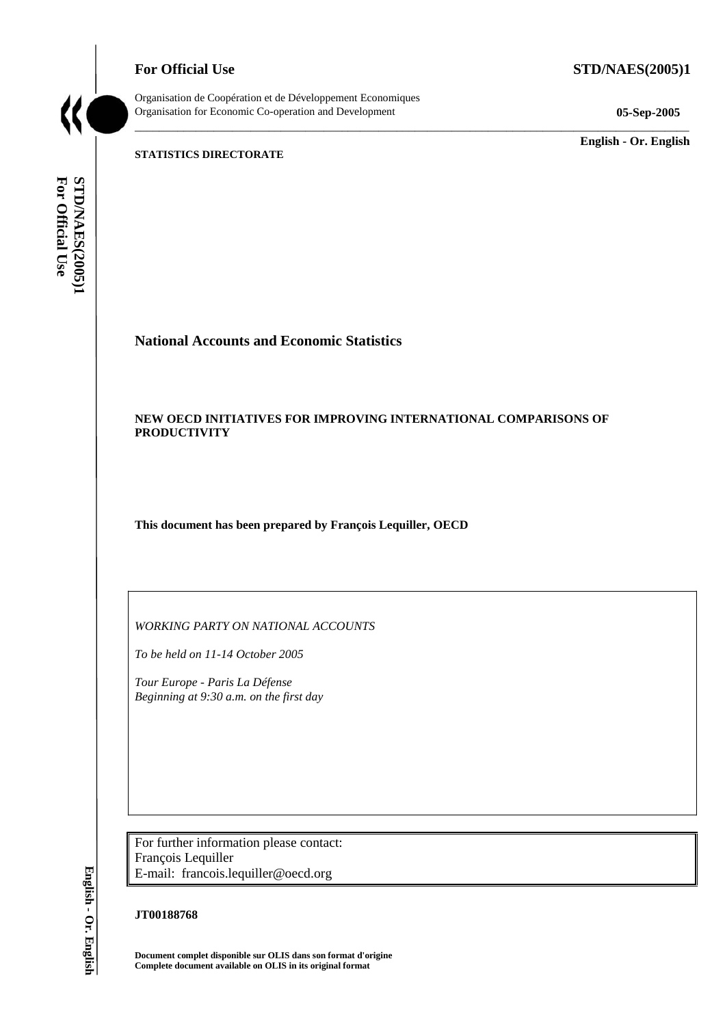**For Official Use STD/NAES(2005)1** 



Organisation de Coopération et de Développement Economiques Organisation for Economic Co-operation and Development **05-Sep-2005** 

\_\_\_\_\_\_\_\_\_\_\_\_\_ **English - Or. English** 

**STATISTICS DIRECTORATE** 

For Official Use STD/NAES(2005)1 **For Official Use STD/NAES(2005)1 English - Or. English**

# **National Accounts and Economic Statistics**

# **NEW OECD INITIATIVES FOR IMPROVING INTERNATIONAL COMPARISONS OF PRODUCTIVITY**

\_\_\_\_\_\_\_\_\_\_\_\_\_\_\_\_\_\_\_\_\_\_\_\_\_\_\_\_\_\_\_\_\_\_\_\_\_\_\_\_\_\_\_\_\_\_\_\_\_\_\_\_\_\_\_\_\_\_\_\_\_\_\_\_\_\_\_\_\_\_\_\_\_\_\_\_\_\_\_\_\_\_\_\_\_\_\_\_\_\_\_

**This document has been prepared by François Lequiller, OECD** 

*WORKING PARTY ON NATIONAL ACCOUNTS* 

*To be held on 11-14 October 2005* 

*Tour Europe - Paris La Défense Beginning at 9:30 a.m. on the first day* 

For further information please contact: François Lequiller E-mail: francois.lequiller@oecd.org

#### **JT00188768**

**Document complet disponible sur OLIS dans son format d'origine Complete document available on OLIS in its original format** 

English - Or. English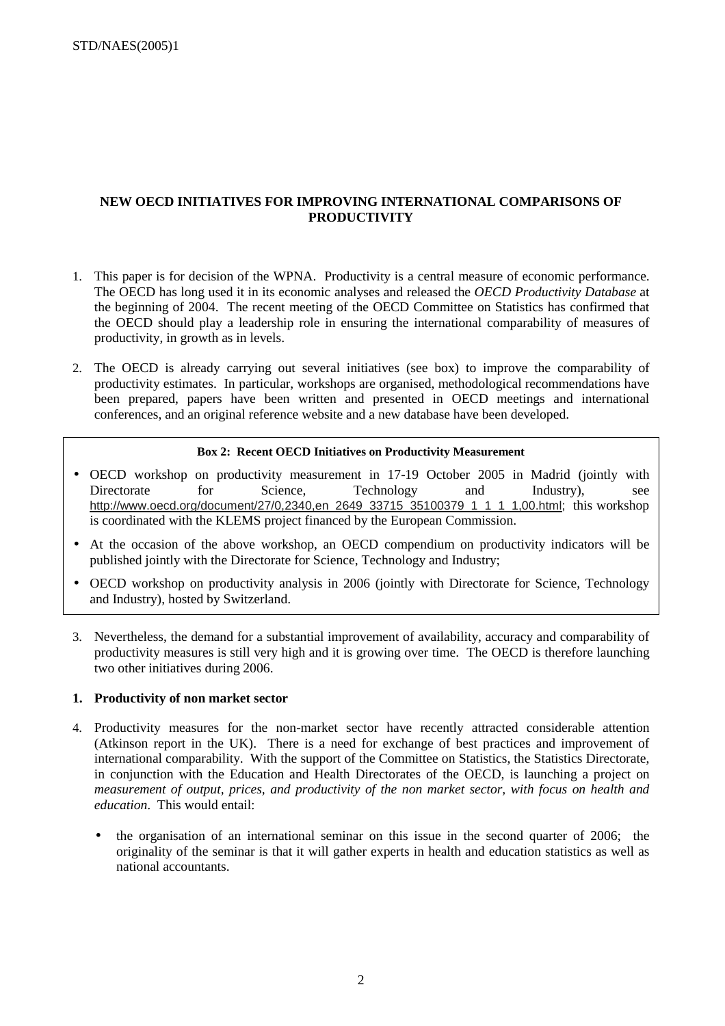# **NEW OECD INITIATIVES FOR IMPROVING INTERNATIONAL COMPARISONS OF PRODUCTIVITY**

- 1. This paper is for decision of the WPNA. Productivity is a central measure of economic performance. The OECD has long used it in its economic analyses and released the *OECD Productivity Database* at the beginning of 2004. The recent meeting of the OECD Committee on Statistics has confirmed that the OECD should play a leadership role in ensuring the international comparability of measures of productivity, in growth as in levels.
- 2. The OECD is already carrying out several initiatives (see box) to improve the comparability of productivity estimates. In particular, workshops are organised, methodological recommendations have been prepared, papers have been written and presented in OECD meetings and international conferences, and an original reference website and a new database have been developed.

#### **Box 2: Recent OECD Initiatives on Productivity Measurement**

- OECD workshop on productivity measurement in 17-19 October 2005 in Madrid (jointly with Directorate for Science, Technology and Industry), see http://www.oecd.org/document/27/0,2340,en\_2649\_33715\_35100379\_1\_1\_1\_1,00.html; this workshop is coordinated with the KLEMS project financed by the European Commission.
- At the occasion of the above workshop, an OECD compendium on productivity indicators will be published jointly with the Directorate for Science, Technology and Industry;
- OECD workshop on productivity analysis in 2006 (jointly with Directorate for Science, Technology and Industry), hosted by Switzerland.
- 3. Nevertheless, the demand for a substantial improvement of availability, accuracy and comparability of productivity measures is still very high and it is growing over time. The OECD is therefore launching two other initiatives during 2006.

### **1. Productivity of non market sector**

- 4. Productivity measures for the non-market sector have recently attracted considerable attention (Atkinson report in the UK). There is a need for exchange of best practices and improvement of international comparability. With the support of the Committee on Statistics, the Statistics Directorate, in conjunction with the Education and Health Directorates of the OECD, is launching a project on *measurement of output, prices, and productivity of the non market sector, with focus on health and education*. This would entail:
	- the organisation of an international seminar on this issue in the second quarter of 2006; the originality of the seminar is that it will gather experts in health and education statistics as well as national accountants.